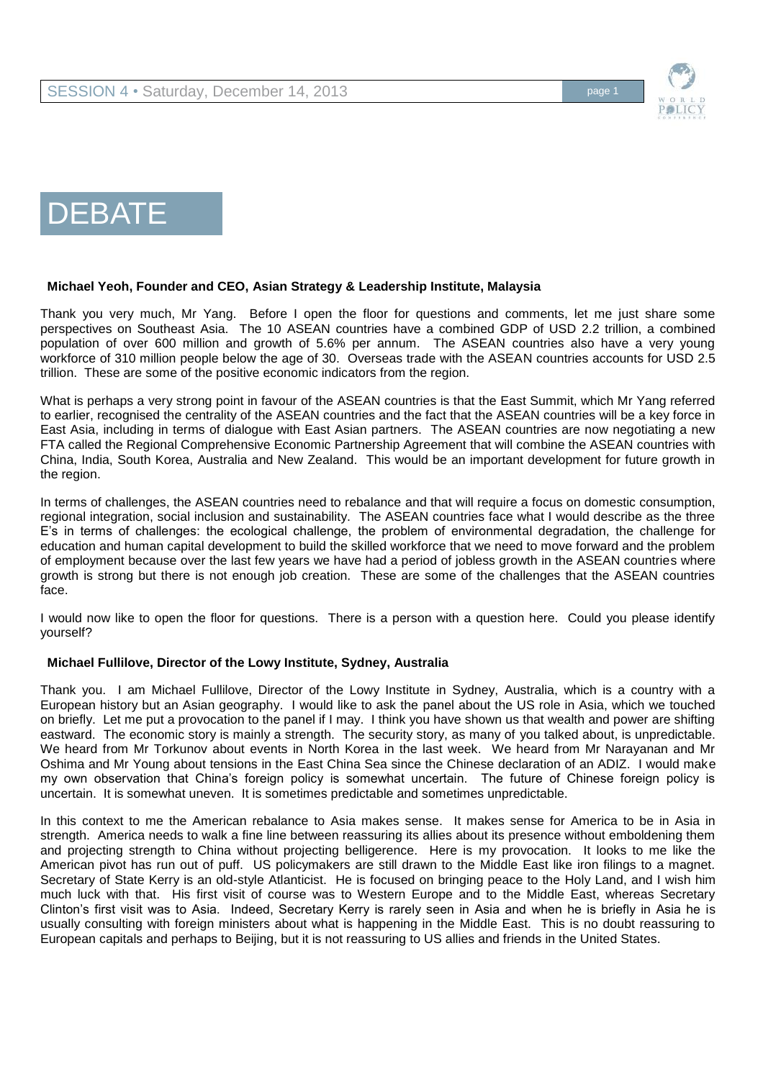

# DEBATE

#### **Michael Yeoh, Founder and CEO, Asian Strategy & Leadership Institute, Malaysia**

Thank you very much, Mr Yang. Before I open the floor for questions and comments, let me just share some perspectives on Southeast Asia. The 10 ASEAN countries have a combined GDP of USD 2.2 trillion, a combined population of over 600 million and growth of 5.6% per annum. The ASEAN countries also have a very young workforce of 310 million people below the age of 30. Overseas trade with the ASEAN countries accounts for USD 2.5 trillion. These are some of the positive economic indicators from the region.

What is perhaps a very strong point in favour of the ASEAN countries is that the East Summit, which Mr Yang referred to earlier, recognised the centrality of the ASEAN countries and the fact that the ASEAN countries will be a key force in East Asia, including in terms of dialogue with East Asian partners. The ASEAN countries are now negotiating a new FTA called the Regional Comprehensive Economic Partnership Agreement that will combine the ASEAN countries with China, India, South Korea, Australia and New Zealand. This would be an important development for future growth in the region.

In terms of challenges, the ASEAN countries need to rebalance and that will require a focus on domestic consumption, regional integration, social inclusion and sustainability. The ASEAN countries face what I would describe as the three E's in terms of challenges: the ecological challenge, the problem of environmental degradation, the challenge for education and human capital development to build the skilled workforce that we need to move forward and the problem of employment because over the last few years we have had a period of jobless growth in the ASEAN countries where growth is strong but there is not enough job creation. These are some of the challenges that the ASEAN countries face.

I would now like to open the floor for questions. There is a person with a question here. Could you please identify yourself?

#### **Michael Fullilove, Director of the Lowy Institute, Sydney, Australia**

Thank you. I am Michael Fullilove, Director of the Lowy Institute in Sydney, Australia, which is a country with a European history but an Asian geography. I would like to ask the panel about the US role in Asia, which we touched on briefly. Let me put a provocation to the panel if I may. I think you have shown us that wealth and power are shifting eastward. The economic story is mainly a strength. The security story, as many of you talked about, is unpredictable. We heard from Mr Torkunov about events in North Korea in the last week. We heard from Mr Narayanan and Mr Oshima and Mr Young about tensions in the East China Sea since the Chinese declaration of an ADIZ. I would make my own observation that China's foreign policy is somewhat uncertain. The future of Chinese foreign policy is uncertain. It is somewhat uneven. It is sometimes predictable and sometimes unpredictable.

In this context to me the American rebalance to Asia makes sense. It makes sense for America to be in Asia in strength. America needs to walk a fine line between reassuring its allies about its presence without emboldening them and projecting strength to China without projecting belligerence. Here is my provocation. It looks to me like the American pivot has run out of puff. US policymakers are still drawn to the Middle East like iron filings to a magnet. Secretary of State Kerry is an old-style Atlanticist. He is focused on bringing peace to the Holy Land, and I wish him much luck with that. His first visit of course was to Western Europe and to the Middle East, whereas Secretary Clinton's first visit was to Asia. Indeed, Secretary Kerry is rarely seen in Asia and when he is briefly in Asia he is usually consulting with foreign ministers about what is happening in the Middle East. This is no doubt reassuring to European capitals and perhaps to Beijing, but it is not reassuring to US allies and friends in the United States.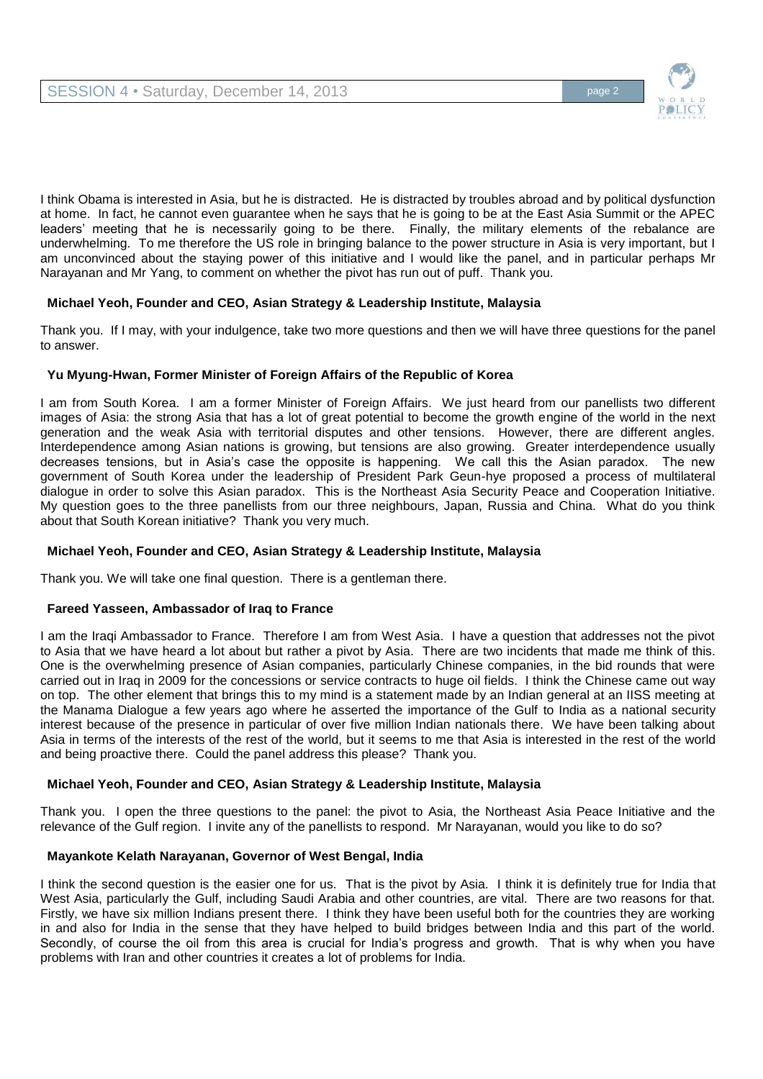

I think Obama is interested in Asia, but he is distracted. He is distracted by troubles abroad and by political dysfunction at home. In fact, he cannot even guarantee when he says that he is going to be at the East Asia Summit or the APEC leaders' meeting that he is necessarily going to be there. Finally, the military elements of the rebalance are underwhelming. To me therefore the US role in bringing balance to the power structure in Asia is very important, but I am unconvinced about the staying power of this initiative and I would like the panel, and in particular perhaps Mr Narayanan and Mr Yang, to comment on whether the pivot has run out of puff. Thank you.

# **Michael Yeoh, Founder and CEO, Asian Strategy & Leadership Institute, Malaysia**

Thank you. If I may, with your indulgence, take two more questions and then we will have three questions for the panel to answer.

# **Yu Myung-Hwan, Former Minister of Foreign Affairs of the Republic of Korea**

I am from South Korea. I am a former Minister of Foreign Affairs. We just heard from our panellists two different images of Asia: the strong Asia that has a lot of great potential to become the growth engine of the world in the next generation and the weak Asia with territorial disputes and other tensions. However, there are different angles. Interdependence among Asian nations is growing, but tensions are also growing. Greater interdependence usually decreases tensions, but in Asia's case the opposite is happening. We call this the Asian paradox. The new government of South Korea under the leadership of President Park Geun-hye proposed a process of multilateral dialogue in order to solve this Asian paradox. This is the Northeast Asia Security Peace and Cooperation Initiative. My question goes to the three panellists from our three neighbours, Japan, Russia and China. What do you think about that South Korean initiative? Thank you very much.

# **Michael Yeoh, Founder and CEO, Asian Strategy & Leadership Institute, Malaysia**

Thank you. We will take one final question. There is a gentleman there.

#### **Fareed Yasseen, Ambassador of Iraq to France**

I am the Iraqi Ambassador to France. Therefore I am from West Asia. I have a question that addresses not the pivot to Asia that we have heard a lot about but rather a pivot by Asia. There are two incidents that made me think of this. One is the overwhelming presence of Asian companies, particularly Chinese companies, in the bid rounds that were carried out in Iraq in 2009 for the concessions or service contracts to huge oil fields. I think the Chinese came out way on top. The other element that brings this to my mind is a statement made by an Indian general at an IISS meeting at the Manama Dialogue a few years ago where he asserted the importance of the Gulf to India as a national security interest because of the presence in particular of over five million Indian nationals there. We have been talking about Asia in terms of the interests of the rest of the world, but it seems to me that Asia is interested in the rest of the world and being proactive there. Could the panel address this please? Thank you.

# **Michael Yeoh, Founder and CEO, Asian Strategy & Leadership Institute, Malaysia**

Thank you. I open the three questions to the panel: the pivot to Asia, the Northeast Asia Peace Initiative and the relevance of the Gulf region. I invite any of the panellists to respond. Mr Narayanan, would you like to do so?

# **Mayankote Kelath Narayanan, Governor of West Bengal, India**

I think the second question is the easier one for us. That is the pivot by Asia. I think it is definitely true for India that West Asia, particularly the Gulf, including Saudi Arabia and other countries, are vital. There are two reasons for that. Firstly, we have six million Indians present there. I think they have been useful both for the countries they are working in and also for India in the sense that they have helped to build bridges between India and this part of the world. Secondly, of course the oil from this area is crucial for India's progress and growth. That is why when you have problems with Iran and other countries it creates a lot of problems for India.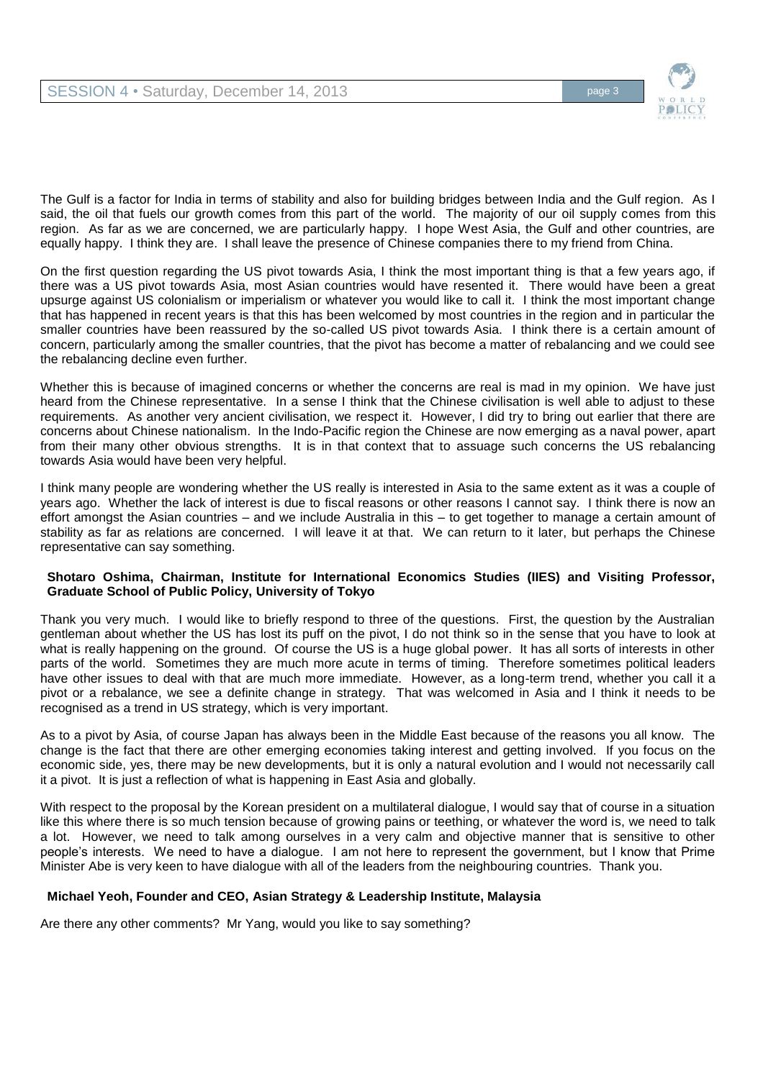

The Gulf is a factor for India in terms of stability and also for building bridges between India and the Gulf region. As I said, the oil that fuels our growth comes from this part of the world. The majority of our oil supply comes from this region. As far as we are concerned, we are particularly happy. I hope West Asia, the Gulf and other countries, are equally happy. I think they are. I shall leave the presence of Chinese companies there to my friend from China.

On the first question regarding the US pivot towards Asia, I think the most important thing is that a few years ago, if there was a US pivot towards Asia, most Asian countries would have resented it. There would have been a great upsurge against US colonialism or imperialism or whatever you would like to call it. I think the most important change that has happened in recent years is that this has been welcomed by most countries in the region and in particular the smaller countries have been reassured by the so-called US pivot towards Asia. I think there is a certain amount of concern, particularly among the smaller countries, that the pivot has become a matter of rebalancing and we could see the rebalancing decline even further.

Whether this is because of imagined concerns or whether the concerns are real is mad in my opinion. We have just heard from the Chinese representative. In a sense I think that the Chinese civilisation is well able to adjust to these requirements. As another very ancient civilisation, we respect it. However, I did try to bring out earlier that there are concerns about Chinese nationalism. In the Indo-Pacific region the Chinese are now emerging as a naval power, apart from their many other obvious strengths. It is in that context that to assuage such concerns the US rebalancing towards Asia would have been very helpful.

I think many people are wondering whether the US really is interested in Asia to the same extent as it was a couple of years ago. Whether the lack of interest is due to fiscal reasons or other reasons I cannot say. I think there is now an effort amongst the Asian countries – and we include Australia in this – to get together to manage a certain amount of stability as far as relations are concerned. I will leave it at that. We can return to it later, but perhaps the Chinese representative can say something.

## **Shotaro Oshima, Chairman, Institute for International Economics Studies (IIES) and Visiting Professor, Graduate School of Public Policy, University of Tokyo**

Thank you very much. I would like to briefly respond to three of the questions. First, the question by the Australian gentleman about whether the US has lost its puff on the pivot, I do not think so in the sense that you have to look at what is really happening on the ground. Of course the US is a huge global power. It has all sorts of interests in other parts of the world. Sometimes they are much more acute in terms of timing. Therefore sometimes political leaders have other issues to deal with that are much more immediate. However, as a long-term trend, whether you call it a pivot or a rebalance, we see a definite change in strategy. That was welcomed in Asia and I think it needs to be recognised as a trend in US strategy, which is very important.

As to a pivot by Asia, of course Japan has always been in the Middle East because of the reasons you all know. The change is the fact that there are other emerging economies taking interest and getting involved. If you focus on the economic side, yes, there may be new developments, but it is only a natural evolution and I would not necessarily call it a pivot. It is just a reflection of what is happening in East Asia and globally.

With respect to the proposal by the Korean president on a multilateral dialogue, I would say that of course in a situation like this where there is so much tension because of growing pains or teething, or whatever the word is, we need to talk a lot. However, we need to talk among ourselves in a very calm and objective manner that is sensitive to other people's interests. We need to have a dialogue. I am not here to represent the government, but I know that Prime Minister Abe is very keen to have dialogue with all of the leaders from the neighbouring countries. Thank you.

# **Michael Yeoh, Founder and CEO, Asian Strategy & Leadership Institute, Malaysia**

Are there any other comments? Mr Yang, would you like to say something?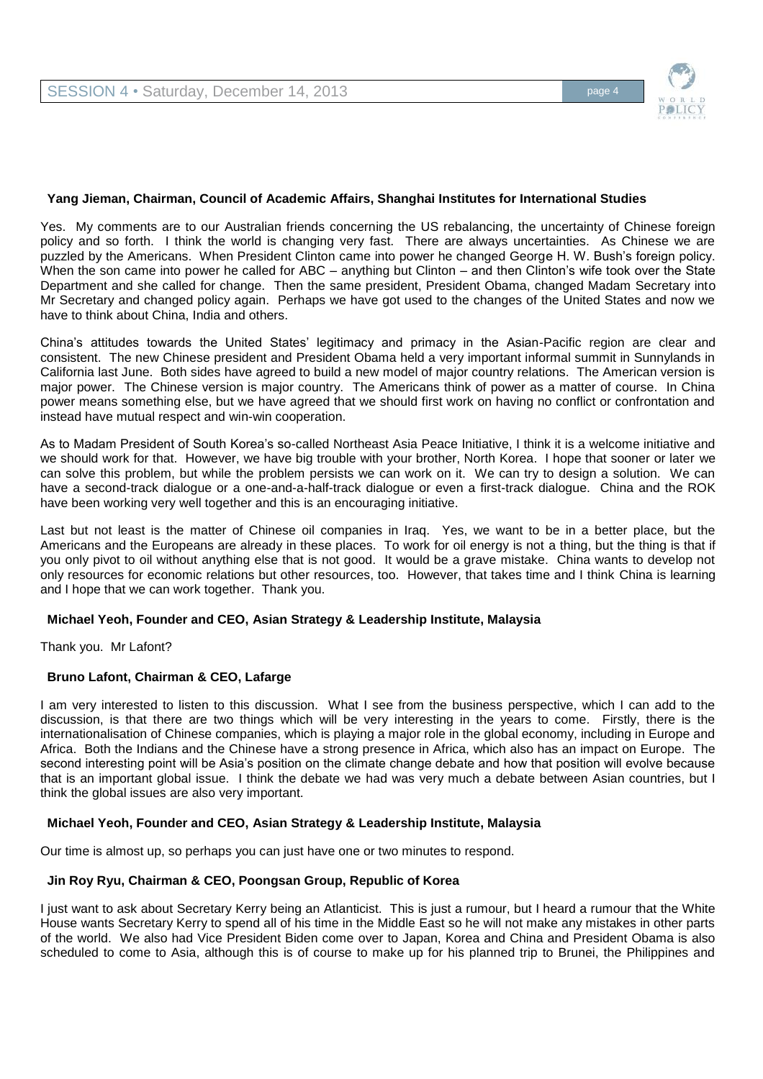

#### **Yang Jieman, Chairman, Council of Academic Affairs, Shanghai Institutes for International Studies**

Yes. My comments are to our Australian friends concerning the US rebalancing, the uncertainty of Chinese foreign policy and so forth. I think the world is changing very fast. There are always uncertainties. As Chinese we are puzzled by the Americans. When President Clinton came into power he changed George H. W. Bush's foreign policy. When the son came into power he called for ABC – anything but Clinton – and then Clinton's wife took over the State Department and she called for change. Then the same president, President Obama, changed Madam Secretary into Mr Secretary and changed policy again. Perhaps we have got used to the changes of the United States and now we have to think about China, India and others.

China's attitudes towards the United States' legitimacy and primacy in the Asian-Pacific region are clear and consistent. The new Chinese president and President Obama held a very important informal summit in Sunnylands in California last June. Both sides have agreed to build a new model of major country relations. The American version is major power. The Chinese version is major country. The Americans think of power as a matter of course. In China power means something else, but we have agreed that we should first work on having no conflict or confrontation and instead have mutual respect and win-win cooperation.

As to Madam President of South Korea's so-called Northeast Asia Peace Initiative, I think it is a welcome initiative and we should work for that. However, we have big trouble with your brother, North Korea. I hope that sooner or later we can solve this problem, but while the problem persists we can work on it. We can try to design a solution. We can have a second-track dialogue or a one-and-a-half-track dialogue or even a first-track dialogue. China and the ROK have been working very well together and this is an encouraging initiative.

Last but not least is the matter of Chinese oil companies in Iraq. Yes, we want to be in a better place, but the Americans and the Europeans are already in these places. To work for oil energy is not a thing, but the thing is that if you only pivot to oil without anything else that is not good. It would be a grave mistake. China wants to develop not only resources for economic relations but other resources, too. However, that takes time and I think China is learning and I hope that we can work together. Thank you.

#### **Michael Yeoh, Founder and CEO, Asian Strategy & Leadership Institute, Malaysia**

Thank you. Mr Lafont?

#### **Bruno Lafont, Chairman & CEO, Lafarge**

I am very interested to listen to this discussion. What I see from the business perspective, which I can add to the discussion, is that there are two things which will be very interesting in the years to come. Firstly, there is the internationalisation of Chinese companies, which is playing a major role in the global economy, including in Europe and Africa. Both the Indians and the Chinese have a strong presence in Africa, which also has an impact on Europe. The second interesting point will be Asia's position on the climate change debate and how that position will evolve because that is an important global issue. I think the debate we had was very much a debate between Asian countries, but I think the global issues are also very important.

#### **Michael Yeoh, Founder and CEO, Asian Strategy & Leadership Institute, Malaysia**

Our time is almost up, so perhaps you can just have one or two minutes to respond.

#### **Jin Roy Ryu, Chairman & CEO, Poongsan Group, Republic of Korea**

I just want to ask about Secretary Kerry being an Atlanticist. This is just a rumour, but I heard a rumour that the White House wants Secretary Kerry to spend all of his time in the Middle East so he will not make any mistakes in other parts of the world. We also had Vice President Biden come over to Japan, Korea and China and President Obama is also scheduled to come to Asia, although this is of course to make up for his planned trip to Brunei, the Philippines and